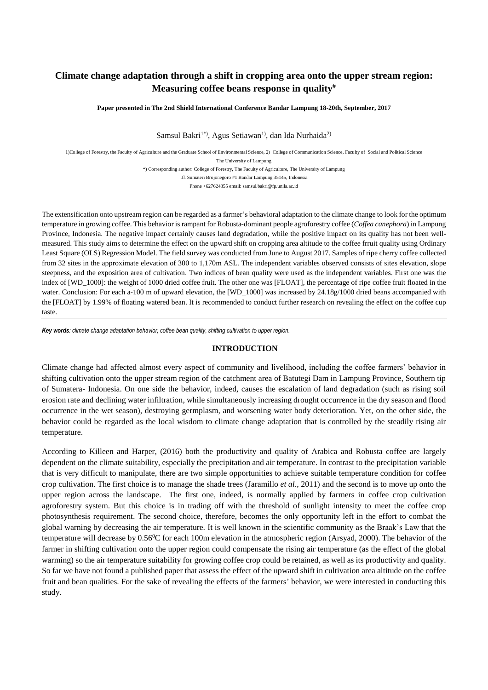# **Climate change adaptation through a shift in cropping area onto the upper stream region: Measuring coffee beans response in quality#**

**Paper presented in The 2nd Shield International Conference Bandar Lampung 18-20th, September, 2017**

Samsul Bakri<sup>1\*</sup>, Agus Setiawan<sup>1</sup>, dan Ida Nurhaida<sup>2)</sup>

1)College of Forestry, the Faculty of Agriculture and the Graduate School of Environmental Science, 2) College of Communication Science, Faculty of Social and Political Science The University of Lampung

\*) Corresponding author: College of Forestry, The Faculty of Agriculture, The University of Lampung

Jl. Sumateri Brojonegoro #1 Bandar Lampung 35145, Indonesia

Phone +627624355 email: samsul.bakri@fp.unila.ac.id

The extensification onto upstream region can be regarded as a farmer's behavioral adaptation to the climate change to look for the optimum temperature in growing coffee. This behavior is rampant for Robusta-dominant people agroforestry coffee (*Coffea canephora*) in Lampung Province, Indonesia. The negative impact certainly causes land degradation, while the positive impact on its quality has not been wellmeasured. This study aims to determine the effect on the upward shift on cropping area altitude to the coffee frruit quality using Ordinary Least Square (OLS) Regression Model. The field survey was conducted from June to August 2017. Samples of ripe cherry coffee collected from 32 sites in the approximate elevation of 300 to 1,170m ASL. The independent variables observed consists of sites elevation, slope steepness, and the exposition area of cultivation. Two indices of bean quality were used as the independent variables. First one was the index of [WD\_1000]: the weight of 1000 dried coffee fruit. The other one was [FLOAT], the percentage of ripe coffee fruit floated in the water. Conclusion: For each a-100 m of upward elevation, the [WD 1000] was increased by 24.18g/1000 dried beans accompanied with the [FLOAT] by 1.99% of floating watered bean. It is recommended to conduct further research on revealing the effect on the coffee cup taste.

*Key words: climate change adaptation behavior, coffee bean quality*, *shifting cultivation to upper region.*

### **INTRODUCTION**

Climate change had affected almost every aspect of community and livelihood, including the coffee farmers' behavior in shifting cultivation onto the upper stream region of the catchment area of Batutegi Dam in Lampung Province, Southern tip of Sumatera- Indonesia. On one side the behavior, indeed, causes the escalation of land degradation (such as rising soil erosion rate and declining water infiltration, while simultaneously increasing drought occurrence in the dry season and flood occurrence in the wet season), destroying germplasm, and worsening water body deterioration. Yet, on the other side, the behavior could be regarded as the local wisdom to climate change adaptation that is controlled by the steadily rising air temperature.

According to Killeen and Harper, (2016) both the productivity and quality of Arabica and Robusta coffee are largely dependent on the climate suitability, especially the precipitation and air temperature. In contrast to the precipitation variable that is very difficult to manipulate, there are two simple opportunities to achieve suitable temperature condition for coffee crop cultivation. The first choice is to manage the shade trees (Jaramillo *et al*., 2011) and the second is to move up onto the upper region across the landscape. The first one, indeed, is normally applied by farmers in coffee crop cultivation agroforestry system. But this choice is in trading off with the threshold of sunlight intensity to meet the coffee crop photosynthesis requirement. The second choice, therefore, becomes the only opportunity left in the effort to combat the global warning by decreasing the air temperature. It is well known in the scientific community as the Braak's Law that the temperature will decrease by  $0.56^{\circ}$ C for each 100m elevation in the atmospheric region (Arsyad, 2000). The behavior of the farmer in shifting cultivation onto the upper region could compensate the rising air temperature (as the effect of the global warming) so the air temperature suitability for growing coffee crop could be retained, as well as its productivity and quality. So far we have not found a published paper that assess the effect of the upward shift in cultivation area altitude on the coffee fruit and bean qualities. For the sake of revealing the effects of the farmers' behavior, we were interested in conducting this study.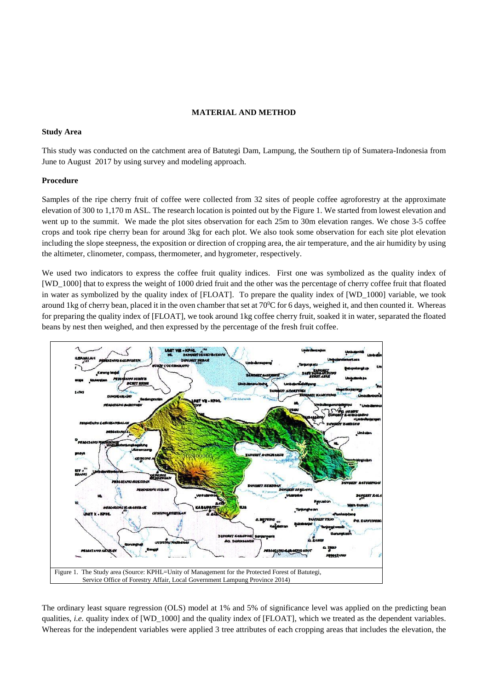## **MATERIAL AND METHOD**

### **Study Area**

This study was conducted on the catchment area of Batutegi Dam, Lampung, the Southern tip of Sumatera-Indonesia from June to August 2017 by using survey and modeling approach.

#### **Procedure**

Samples of the ripe cherry fruit of coffee were collected from 32 sites of people coffee agroforestry at the approximate elevation of 300 to 1,170 m ASL. The research location is pointed out by the Figure 1. We started from lowest elevation and went up to the summit. We made the plot sites observation for each 25m to 30m elevation ranges. We chose 3-5 coffee crops and took ripe cherry bean for around 3kg for each plot. We also took some observation for each site plot elevation including the slope steepness, the exposition or direction of cropping area, the air temperature, and the air humidity by using the altimeter, clinometer, compass, thermometer, and hygrometer, respectively.

We used two indicators to express the coffee fruit quality indices. First one was symbolized as the quality index of [WD\_1000] that to express the weight of 1000 dried fruit and the other was the percentage of cherry coffee fruit that floated in water as symbolized by the quality index of [FLOAT]. To prepare the quality index of [WD\_1000] variable, we took around 1kg of cherry bean, placed it in the oven chamber that set at  $70^{\circ}$ C for 6 days, weighed it, and then counted it. Whereas for preparing the quality index of [FLOAT], we took around 1kg coffee cherry fruit, soaked it in water, separated the floated beans by nest then weighed, and then expressed by the percentage of the fresh fruit coffee.



The ordinary least square regression (OLS) model at 1% and 5% of significance level was applied on the predicting bean qualities, *i.e.* quality index of [WD\_1000] and the quality index of [FLOAT], which we treated as the dependent variables. Whereas for the independent variables were applied 3 tree attributes of each cropping areas that includes the elevation, the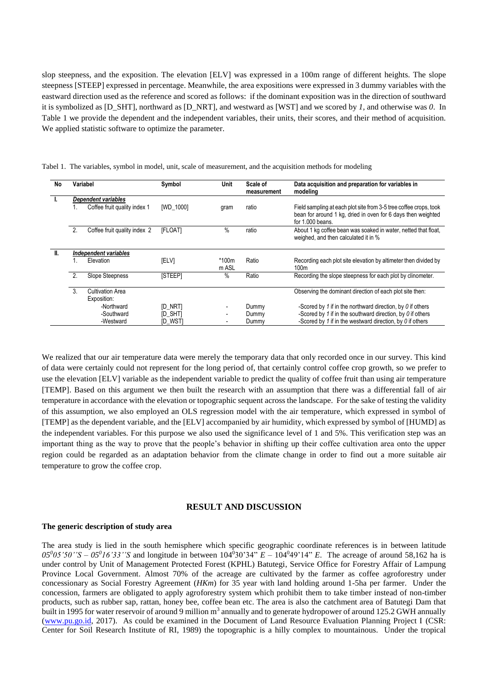slop steepness, and the exposition. The elevation [ELV] was expressed in a 100m range of different heights. The slope steepness [STEEP] expressed in percentage. Meanwhile, the area expositions were expressed in 3 dummy variables with the eastward direction used as the reference and scored as follows: if the dominant exposition was in the direction of southward it is symbolized as [D\_SHT], northward as [D\_NRT], and westward as [WST] and we scored by *1,* and otherwise was *0*. In Table 1 we provide the dependent and the independent variables, their units, their scores, and their method of acquisition. We applied statistic software to optimize the parameter.

| No |    | Variabel                     | Symbol         | Unit           | Scale of<br>measurement | Data acquisition and preparation for variables in<br>modelina                                                                                         |
|----|----|------------------------------|----------------|----------------|-------------------------|-------------------------------------------------------------------------------------------------------------------------------------------------------|
|    |    | Dependent variables          |                |                |                         |                                                                                                                                                       |
|    |    | Coffee fruit quality index 1 | [WD_1000]      | gram           | ratio                   | Field sampling at each plot site from 3-5 tree coffee crops, took<br>bean for around 1 kg, dried in oven for 6 days then weighted<br>for 1.000 beans. |
|    | 2. | Coffee fruit quality index 2 | [FLOAT]        | $\%$           | ratio                   | About 1 kg coffee bean was soaked in water, netted that float,<br>weighed, and then calculated it in %                                                |
| H. |    | Independent variables        |                |                |                         |                                                                                                                                                       |
|    |    | Elevation                    | <b>IELVI</b>   | *100m<br>m ASL | Ratio                   | Recording each plot site elevation by altimeter then divided by<br>100 <sub>m</sub>                                                                   |
|    | 2. | <b>Slope Steepness</b>       | <b>ISTEEPI</b> | $\%$           | Ratio                   | Recording the slope steepness for each plot by clinometer.                                                                                            |
|    | 3  | Cultivation Area             |                |                |                         | Observing the dominant direction of each plot site then:                                                                                              |
|    |    | Exposition:                  |                |                |                         |                                                                                                                                                       |
|    |    | -Northward                   | <b>ID NRTI</b> |                | Dummy                   | -Scored by 1 if in the northward direction, by $\theta$ if others                                                                                     |
|    |    | -Southward                   | [D_SHT]        |                | Dummy                   | -Scored by 1 if in the southward direction, by $\theta$ if others                                                                                     |
|    |    | -Westward                    | [D_WST]        |                | Dummy                   | -Scored by 1 if in the westward direction, by $0$ if others                                                                                           |

Tabel 1. The variables, symbol in model, unit, scale of measurement, and the acquisition methods for modeling

We realized that our air temperature data were merely the temporary data that only recorded once in our survey. This kind of data were certainly could not represent for the long period of, that certainly control coffee crop growth, so we prefer to use the elevation [ELV] variable as the independent variable to predict the quality of coffee fruit than using air temperature [TEMP]. Based on this argument we then built the research with an assumption that there was a differential fall of air temperature in accordance with the elevation or topographic sequent across the landscape. For the sake of testing the validity of this assumption, we also employed an OLS regression model with the air temperature, which expressed in symbol of [TEMP] as the dependent variable, and the [ELV] accompanied by air humidity, which expressed by symbol of [HUMD] as the independent variables. For this purpose we also used the significance level of 1 and 5%. This verification step was an important thing as the way to prove that the people's behavior in shifting up their coffee cultivation area onto the upper region could be regarded as an adaptation behavior from the climate change in order to find out a more suitable air temperature to grow the coffee crop.

## **RESULT AND DISCUSSION**

#### **The generic description of study area**

The area study is lied in the south hemisphere which specific geographic coordinate references is in between latitude  $05^{0}$ 05'50''S –  $05^{0}$ 16'33''S and longitude in between  $104^{0}$ 30'34"  $E - 104^{0}$ 49'14"  $E$ . The acreage of around 58,162 ha is under control by Unit of Management Protected Forest (KPHL) Batutegi, Service Office for Forestry Affair of Lampung Province Local Government. Almost 70% of the acreage are cultivated by the farmer as coffee agroforestry under concessionary as Social Forestry Agreement (*HKm*) for 35 year with land holding around 1-5ha per farmer. Under the concession, farmers are obligated to apply agroforestry system which prohibit them to take timber instead of non-timber products, such as rubber sap, rattan, honey bee, coffee bean etc. The area is also the catchment area of Batutegi Dam that built in 1995 for water reservoir of around 9 million m<sup>3</sup> annually and to generate hydropower of around 125.2 GWH annually [\(www.pu.go.id,](http://www.pu.go.id/) 2017). As could be examined in the Document of Land Resource Evaluation Planning Project I (CSR: Center for Soil Research Institute of RI, 1989) the topographic is a hilly complex to mountainous. Under the tropical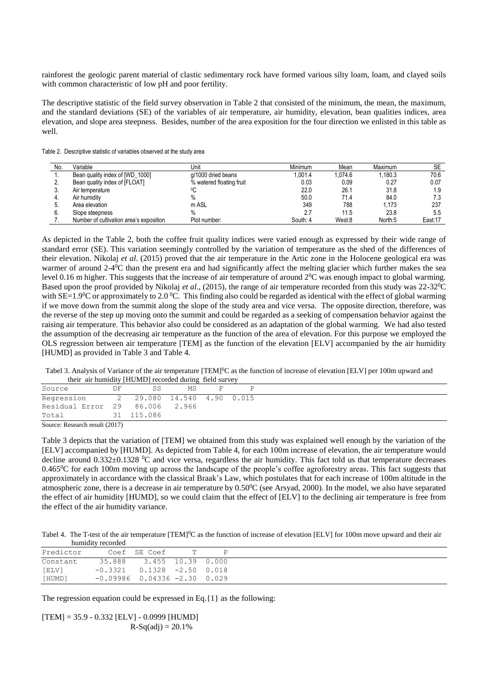rainforest the geologic parent material of clastic sedimentary rock have formed various silty loam, loam, and clayed soils with common characteristic of low pH and poor fertility.

The descriptive statistic of the field survey observation in Table 2 that consisted of the minimum, the mean, the maximum, and the standard deviations (SE) of the variables of air temperature, air humidity, elevation, bean qualities indices, area elevation, and slope area steepness. Besides, number of the area exposition for the four direction we enlisted in this table as well.

| No. | Variable                                | Unit                     | Minimum  | Mean    | Maximum | SE      |
|-----|-----------------------------------------|--------------------------|----------|---------|---------|---------|
|     | Bean quality index of [WD_1000]         | g/1000 dried beans       | .001.4   | 1.074.6 | .180.3  | 70.6    |
|     | Bean quality index of [FLOAT]           | % watered floating fruit | 0.03     | 0.09    | 0.27    | 0.07    |
|     | Air temperature                         |                          | 22.0     | 26.1    | 31.8    | 1.9     |
|     | Air humidity                            |                          | 50.0     | 71.4    | 84.0    | 7.3     |
|     | Area elevation                          | m ASL                    | 349      | 788     | 1.173   | 237     |
|     | Slope steepness                         |                          |          | 11.5    | 23.8    | 5.5     |
|     | Number of cultivation area's exposition | Plot number:             | South: 4 | West:8  | North:5 | East:17 |

As depicted in the Table 2, both the coffee fruit quality indices were varied enough as expressed by their wide range of standard error (SE). This variation seemingly controlled by the variation of temperature as the shed of the differences of their elevation. Nikolaj *et al*. (2015) proved that the air temperature in the Artic zone in the Holocene geological era was warmer of around 2-4<sup>0</sup>C than the present era and had significantly affect the melting glacier which further makes the sea level 0.16 m higher. This suggests that the increase of air temperature of around  $2^{0}C$  was enough impact to global warming. Based upon the proof provided by Nikolaj *et al*., (2015), the range of air temperature recorded from this study was 22-32<sup>0</sup>C with SE=1.9 $\rm{^0C}$  or approximately to 2.0  $\rm{^0C}$ . This finding also could be regarded as identical with the effect of global warming if we move down from the summit along the slope of the study area and vice versa. The opposite direction, therefore, was the reverse of the step up moving onto the summit and could be regarded as a seeking of compensation behavior against the raising air temperature. This behavior also could be considered as an adaptation of the global warming. We had also tested the assumption of the decreasing air temperature as the function of the area of elevation. For this purpose we employed the OLS regression between air temperature [TEM] as the function of the elevation [ELV] accompanied by the air humidity [HUMD] as provided in Table 3 and Table 4.

Tabel 3. Analysis of Variance of the air temperature [TEM]<sup>0</sup>C as the function of increase of elevation [ELV] per 100m upward and their air humidity [HUMD] recorded during field survey

| Source                      | DF | SS                         | МS |  |  |  |  |  |
|-----------------------------|----|----------------------------|----|--|--|--|--|--|
| Regression                  |    | 2 29.080 14.540 4.90 0.015 |    |  |  |  |  |  |
| Residual Error 29           |    | 86.006 2.966               |    |  |  |  |  |  |
| Total                       |    | 31 115.086                 |    |  |  |  |  |  |
| $C = D = 1 + \sqrt{2(1.7)}$ |    |                            |    |  |  |  |  |  |

Source: Research result (2017)

Table 3 depicts that the variation of [TEM] we obtained from this study was explained well enough by the variation of the [ELV] accompanied by [HUMD]. As depicted from Table 4, for each 100m increase of elevation, the air temperature would decline around  $0.332\pm0.1328$  <sup>o</sup>C and vice versa, regardless the air humidity. This fact told us that temperature decreases 0.465 $^{\circ}$ C for each 100m moving up across the landscape of the people's coffee agroforestry areas. This fact suggests that approximately in accordance with the classical Braak's Law, which postulates that for each increase of 100m altitude in the atmospheric zone, there is a decrease in air temperature by 0.50<sup>o</sup>C (see Arsyad, 2000). In the model, we also have separated the effect of air humidity [HUMD], so we could claim that the effect of [ELV] to the declining air temperature is free from the effect of the air humidity variance.

Tabel 4. The T-test of the air temperature [TEM]<sup>0</sup>C as the function of increase of elevation [ELV] for 100m move upward and their air humidity recorded

| Predictor |                                    | Coef SE Coef             |  |
|-----------|------------------------------------|--------------------------|--|
| Constant  |                                    | 35.888 3.455 10.39 0.000 |  |
| [ELV]     | $-0.3321$ $0.1328$ $-2.50$ $0.018$ |                          |  |
| [HUMD]    | $-0.09986$ 0.04336 $-2.30$ 0.029   |                          |  |

The regression equation could be expressed in Eq. $\{1\}$  as the following:

 $[TEM] = 35.9 - 0.332 [ELV] - 0.0999 [HUMD]$  $R-Sq(adj) = 20.1%$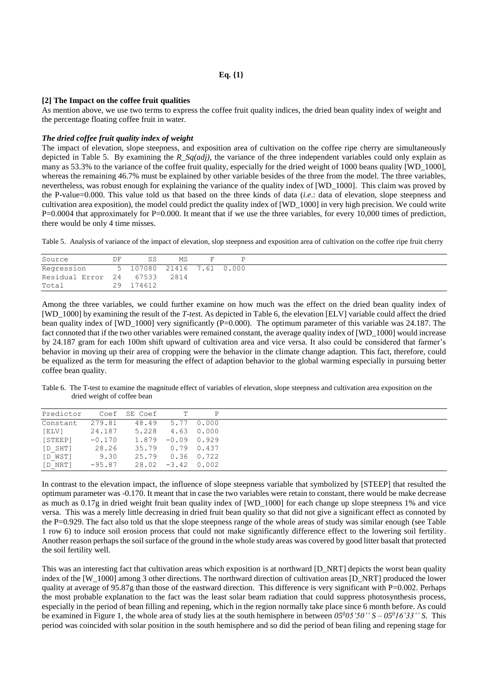**Eq. {1}**

#### **[2] The Impact on the coffee fruit qualities**

As mention above, we use two terms to express the coffee fruit quality indices, the dried bean quality index of weight and the percentage floating coffee fruit in water.

### *The dried coffee fruit quality index of weight*

The impact of elevation, slope steepness, and exposition area of cultivation on the coffee ripe cherry are simultaneously depicted in Table 5. By examining the *R\_Sq(adj)*, the variance of the three independent variables could only explain as many as 53.3% to the variance of the coffee fruit quality, especially for the dried weight of 1000 beans quality [WD\_1000], whereas the remaining 46.7% must be explained by other variable besides of the three from the model. The three variables, nevertheless, was robust enough for explaining the variance of the quality index of [WD\_1000]. This claim was proved by the P-value=0.000. This value told us that based on the three kinds of data (*i.e*.: data of elevation, slope steepness and cultivation area exposition), the model could predict the quality index of [WD\_1000] in very high precision. We could write  $P=0.0004$  that approximately for P=0.000. It meant that if we use the three variables, for every 10,000 times of prediction, there would be only 4 time misses.

Table 5. Analysis of variance of the impact of elevation, slop steepness and exposition area of cultivation on the coffee ripe fruit cherry

| Source            | DF | SS                        | MS   |  |
|-------------------|----|---------------------------|------|--|
| Regression        |    | 5 107080 21416 7.61 0.000 |      |  |
| Residual Error 24 |    | 67533                     | 2814 |  |
| Total             | 29 | 174612                    |      |  |

Among the three variables, we could further examine on how much was the effect on the dried bean quality index of [WD\_1000] by examining the result of the *T-tes*t. As depicted in Table 6, the elevation [ELV] variable could affect the dried bean quality index of [WD\_1000] very significantly (P=0.000). The optimum parameter of this variable was 24.187. The fact connoted that if the two other variables were remained constant, the average quality index of [WD\_1000] would increase by 24.187 gram for each 100m shift upward of cultivation area and vice versa. It also could be considered that farmer's behavior in moving up their area of cropping were the behavior in the climate change adaption. This fact, therefore, could be equalized as the term for measuring the effect of adaption behavior to the global warming especially in pursuing better coffee bean quality.

Table 6. The T-test to examine the magnitude effect of variables of elevation, slope steepness and cultivation area exposition on the dried weight of coffee bean

| Predictor |          | Coef SE Coef         | <u>т</u>            | P          |
|-----------|----------|----------------------|---------------------|------------|
| Constant  | 279.81   |                      | 48.49 5.77 0.000    |            |
| [ELV]     | 24.187   | 5.228                |                     | 4.63 0.000 |
| [STEEP]   | $-0.170$ | $1.879 - 0.09 0.929$ |                     |            |
| $[D$ SHT] | 28.26    |                      | 35.79 0.79 0.437    |            |
| [D WST]   | 9.30     | 25.79                | $0.36$ 0.722        |            |
| [D NRT]   | $-95.87$ |                      | $28.02 -3.42 0.002$ |            |

In contrast to the elevation impact, the influence of slope steepness variable that symbolized by [STEEP] that resulted the optimum parameter was -0.170. It meant that in case the two variables were retain to constant, there would be make decrease as much as 0.17g in dried weight fruit bean quality index of [WD\_1000] for each change up slope steepness 1% and vice versa. This was a merely little decreasing in dried fruit bean quality so that did not give a significant effect as connoted by the P=0.929. The fact also told us that the slope steepness range of the whole areas of study was similar enough (see Table 1 row 6) to induce soil erosion process that could not make significantly difference effect to the lowering soil fertility. Another reason perhaps the soil surface of the ground in the whole study areas was covered by good litter basalt that protected the soil fertility well.

This was an interesting fact that cultivation areas which exposition is at northward [D\_NRT] depicts the worst bean quality index of the [W\_1000] among 3 other directions. The northward direction of cultivation areas [D\_NRT] produced the lower quality at average of 95.87g than those of the eastward direction. This difference is very significant with  $P=0.002$ . Perhaps the most probable explanation to the fact was the least solar beam radiation that could suppress photosynthesis process, especially in the period of bean filling and repening, which in the region normally take place since 6 month before. As could be examined in Figure 1, the whole area of study lies at the south hemisphere in between  $05^005'50''S - 05^016'33''S$ . This period was coincided with solar position in the south hemisphere and so did the period of bean filing and repening stage for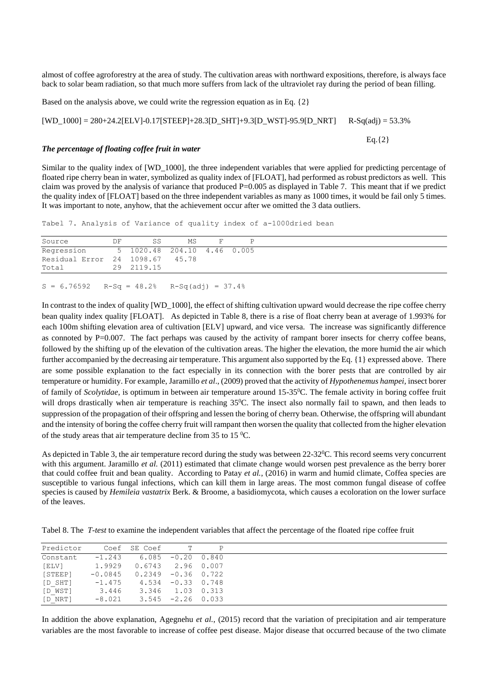almost of coffee agroforestry at the area of study. The cultivation areas with northward expositions, therefore, is always face back to solar beam radiation, so that much more suffers from lack of the ultraviolet ray during the period of bean filling.

Based on the analysis above, we could write the regression equation as in Eq. {2}

 $[WD_1000] = 280 + 24.2[ELV] - 0.17[STEEP] + 28.3[D_SHT] + 9.3[D_WST] - 95.9[D_NRT]$  R-Sq(adj) = 53.3%

 $Eq.$ {2}

#### *The percentage of floating coffee fruit in water*

Similar to the quality index of [WD\_1000], the three independent variables that were applied for predicting percentage of floated ripe cherry bean in water, symbolized as quality index of [FLOAT], had performed as robust predictors as well. This claim was proved by the analysis of variance that produced  $P=0.005$  as displayed in Table 7. This meant that if we predict the quality index of [FLOAT] based on the three independent variables as many as 1000 times, it would be fail only 5 times. It was important to note, anyhow, that the achievement occur after we omitted the 3 data outliers.

Tabel 7. Analysis of Variance of quality index of a-1000dried bean

| Source                                       | DF. | SS         | MS | F. |  |
|----------------------------------------------|-----|------------|----|----|--|
| Regression 5 1020.48 204.10 4.46 0.005       |     |            |    |    |  |
| Residual Error 24 1098.67 45.78              |     |            |    |    |  |
| Total                                        |     | 29 2119.15 |    |    |  |
|                                              |     |            |    |    |  |
| $S = 6.76592$ R-Sq = 48.2% R-Sq(adj) = 37.4% |     |            |    |    |  |

In contrast to the index of quality [WD\_1000], the effect of shifting cultivation upward would decrease the ripe coffee cherry bean quality index quality [FLOAT]. As depicted in Table 8, there is a rise of float cherry bean at average of 1.993% for each 100m shifting elevation area of cultivation [ELV] upward, and vice versa. The increase was significantly difference as connoted by P $=0.007$ . The fact perhaps was caused by the activity of rampant borer insects for cherry coffee beans, followed by the shifting up of the elevation of the cultivation areas. The higher the elevation, the more humid the air which further accompanied by the decreasing air temperature. This argument also supported by the Eq. {1} expressed above. There are some possible explanation to the fact especially in its connection with the borer pests that are controlled by air temperature or humidity. For example, Jaramillo *et al*., (2009) proved that the activity of *Hypothenemus hampei,* insect borer of family of *Scolytidae*, is optimum in between air temperature around 15-35<sup>0</sup>C. The female activity in boring coffee fruit will drops drastically when air temperature is reaching  $35^{\circ}$ C. The insect also normally fail to spawn, and then leads to suppression of the propagation of their offspring and lessen the boring of cherry bean. Otherwise, the offspring will abundant and the intensity of boring the coffee cherry fruit will rampant then worsen the quality that collected from the higher elevation of the study areas that air temperature decline from 35 to 15 $^{\circ}$ C.

As depicted in Table 3, the air temperature record during the study was between  $22-32^{\circ}$ C. This record seems very concurrent with this argument. Jaramillo *et al.* (2011) estimated that climate change would worsen pest prevalence as the berry borer that could coffee fruit and bean quality. According to Patay *et al.*, (2016) in warm and humid climate, Coffea species are susceptible to various fungal infections, which can kill them in large areas. The most common fungal disease of coffee species is caused by *Hemileia vastatrix* Berk. & Broome, a basidiomycota, which causes a ecoloration on the lower surface of the leaves.

Tabel 8. The *T-test* to examine the independent variables that affect the percentage of the floated ripe coffee fruit

| Predictor |           | Coef SE Coef T               | $\mathbb{P}$ |
|-----------|-----------|------------------------------|--------------|
| Constant  | $-1.243$  | $6.085 -0.20 0.840$          |              |
| [ELV]     | 1.9929    | $0.6743$ 2.96 0.007          |              |
| [STEEP]   | $-0.0845$ | $0.2349 - 0.36$ 0.722        |              |
| [D SHT]   |           | $-1.475$ 4.534 $-0.33$ 0.748 |              |
| [D WST]   | 3.446     | 3.346 1.03 0.313             |              |
| [D NRT]   |           | $-8.021$ 3.545 $-2.26$ 0.033 |              |

In addition the above explanation, Agegnehu *et al.*, (2015) record that the variation of precipitation and air temperature variables are the most favorable to increase of coffee pest disease. Major disease that occurred because of the two climate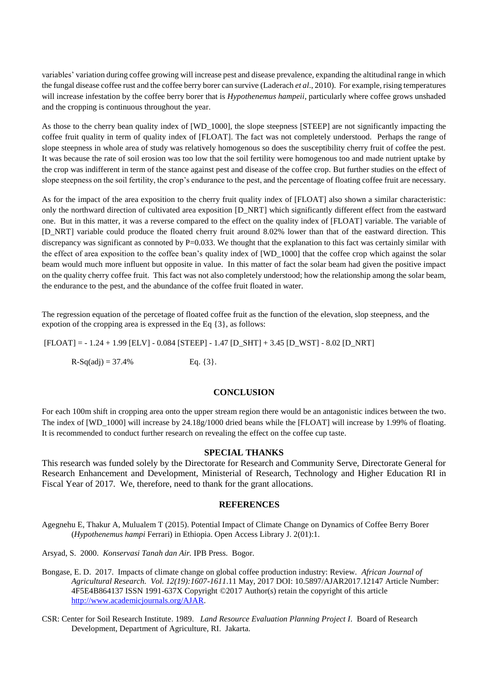variables' variation during coffee growing will increase pest and disease prevalence, expanding the altitudinal range in which the fungal disease coffee rust and the coffee berry borer can survive (Laderach *et al*., 2010). For example, rising temperatures will increase infestation by the coffee berry borer that is *Hypothenemus hampeii*, particularly where coffee grows unshaded and the cropping is continuous throughout the year.

As those to the cherry bean quality index of [WD\_1000], the slope steepness [STEEP] are not significantly impacting the coffee fruit quality in term of quality index of [FLOAT]. The fact was not completely understood. Perhaps the range of slope steepness in whole area of study was relatively homogenous so does the susceptibility cherry fruit of coffee the pest. It was because the rate of soil erosion was too low that the soil fertility were homogenous too and made nutrient uptake by the crop was indifferent in term of the stance against pest and disease of the coffee crop. But further studies on the effect of slope steepness on the soil fertility, the crop's endurance to the pest, and the percentage of floating coffee fruit are necessary.

As for the impact of the area exposition to the cherry fruit quality index of [FLOAT] also shown a similar characteristic: only the northward direction of cultivated area exposition [D\_NRT] which significantly different effect from the eastward one. But in this matter, it was a reverse compared to the effect on the quality index of [FLOAT] variable. The variable of [D\_NRT] variable could produce the floated cherry fruit around 8.02% lower than that of the eastward direction. This discrepancy was significant as connoted by  $P=0.033$ . We thought that the explanation to this fact was certainly similar with the effect of area exposition to the coffee bean's quality index of [WD\_1000] that the coffee crop which against the solar beam would much more influent but opposite in value. In this matter of fact the solar beam had given the positive impact on the quality cherry coffee fruit. This fact was not also completely understood; how the relationship among the solar beam, the endurance to the pest, and the abundance of the coffee fruit floated in water.

The regression equation of the percetage of floated coffee fruit as the function of the elevation, slop steepness, and the expotion of the cropping area is expressed in the Eq {3}, as follows:

[FLOAT] = - 1.24 + 1.99 [ELV] - 0.084 [STEEP] - 1.47 [D\_SHT] + 3.45 [D\_WST] - 8.02 [D\_NRT]

 $R-Sq(adj) = 37.4%$  Eq. {3}.

## **CONCLUSION**

For each 100m shift in cropping area onto the upper stream region there would be an antagonistic indices between the two. The index of [WD\_1000] will increase by 24.18g/1000 dried beans while the [FLOAT] will increase by 1.99% of floating. It is recommended to conduct further research on revealing the effect on the coffee cup taste.

## **SPECIAL THANKS**

This research was funded solely by the Directorate for Research and Community Serve, Directorate General for Research Enhancement and Development, Ministerial of Research, Technology and Higher Education RI in Fiscal Year of 2017. We, therefore, need to thank for the grant allocations.

#### **REFERENCES**

Agegnehu E, Thakur A, Mulualem T (2015). Potential Impact of Climate Change on Dynamics of Coffee Berry Borer (*Hypothenemus hampi* Ferrari) in Ethiopia. Open Access Library J. 2(01):1.

Arsyad, S. 2000. *Konservasi Tanah dan Air.* IPB Press. Bogor.

- Bongase, E. D. 2017. Impacts of climate change on global coffee production industry: Review. *African Journal of Agricultural Research. Vol. 12(19):1607-1611*.11 May, 2017 DOI: 10.5897/AJAR2017.12147 Article Number: 4F5E4B864137 ISSN 1991-637X Copyright ©2017 Author(s) retain the copyright of this article [http://www.academicjournals.org/AJAR.](http://www.academicjournals.org/AJAR)
- CSR: Center for Soil Research Institute. 1989. *Land Resource Evaluation Planning Project I.* Board of Research Development, Department of Agriculture, RI. Jakarta.